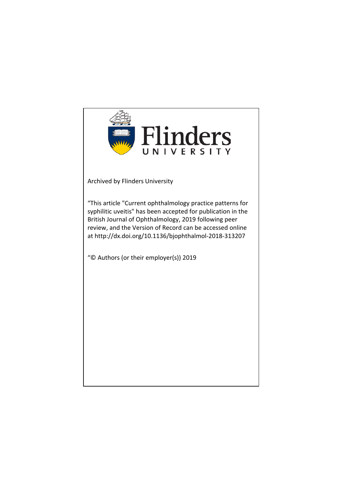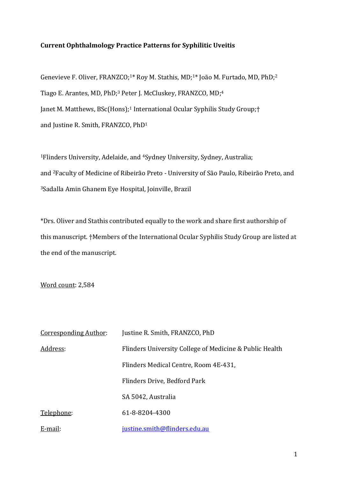# **Current Ophthalmology Practice Patterns for Syphilitic Uveitis**

Genevieve F. Oliver, FRANZCO;<sup>1\*</sup> Roy M. Stathis, MD;<sup>1\*</sup> João M. Furtado, MD, PhD;<sup>2</sup> Tiago E. Arantes, MD, PhD;<sup>3</sup> Peter J. McCluskey, FRANZCO, MD;<sup>4</sup> Janet M. Matthews, BSc(Hons);<sup>1</sup> International Ocular Syphilis Study Group;<sup>†</sup> and Justine R. Smith, FRANZCO, PhD<sup>1</sup>

<sup>1</sup>Flinders University, Adelaide, and <sup>4</sup>Sydney University, Sydney, Australia; and <sup>2</sup>Faculty of Medicine of Ribeirão Preto - University of São Paulo, Ribeirão Preto, and <sup>3</sup>Sadalla Amin Ghanem Eye Hospital, Joinville, Brazil

\*Drs. Oliver and Stathis contributed equally to the work and share first authorship of this manuscript. †Members of the International Ocular Syphilis Study Group are listed at the end of the manuscript.

Word count: 2,584

| <b>Corresponding Author:</b> | Justine R. Smith, FRANZCO, PhD                          |
|------------------------------|---------------------------------------------------------|
| Address:                     | Flinders University College of Medicine & Public Health |
|                              | Flinders Medical Centre, Room 4E-431,                   |
|                              | Flinders Drive, Bedford Park                            |
|                              | SA 5042, Australia                                      |
| Telephone:                   | 61-8-8204-4300                                          |
| E-mail:                      | justine.smith@flinders.edu.au                           |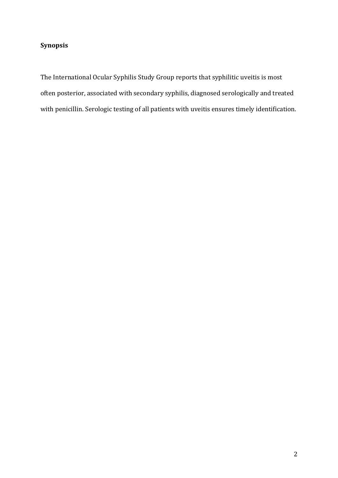# **Synopsis**

The International Ocular Syphilis Study Group reports that syphilitic uveitis is most often posterior, associated with secondary syphilis, diagnosed serologically and treated with penicillin. Serologic testing of all patients with uveitis ensures timely identification.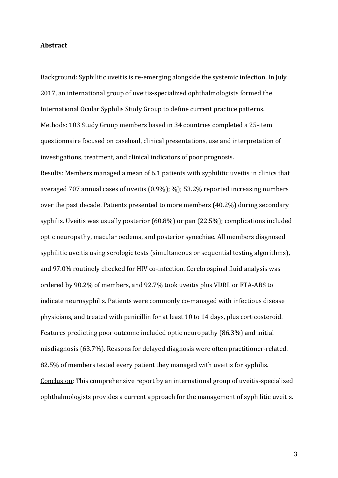#### **Abstract**

Background: Syphilitic uveitis is re-emerging alongside the systemic infection. In July 2017, an international group of uveitis-specialized ophthalmologists formed the International Ocular Syphilis Study Group to define current practice patterns. Methods: 103 Study Group members based in 34 countries completed a 25-item questionnaire focused on caseload, clinical presentations, use and interpretation of investigations, treatment, and clinical indicators of poor prognosis.

Results: Members managed a mean of 6.1 patients with syphilitic uveitis in clinics that averaged  $707$  annual cases of uveitis  $(0.9\%)$ ;  $\%$ ); 53.2% reported increasing numbers over the past decade. Patients presented to more members (40.2%) during secondary syphilis. Uveitis was usually posterior  $(60.8\%)$  or pan  $(22.5\%)$ ; complications included optic neuropathy, macular oedema, and posterior synechiae. All members diagnosed syphilitic uveitis using serologic tests (simultaneous or sequential testing algorithms), and 97.0% routinely checked for HIV co-infection. Cerebrospinal fluid analysis was ordered by 90.2% of members, and 92.7% took uveitis plus VDRL or FTA-ABS to indicate neurosyphilis. Patients were commonly co-managed with infectious disease physicians, and treated with penicillin for at least 10 to 14 days, plus corticosteroid. Features predicting poor outcome included optic neuropathy (86.3%) and initial misdiagnosis (63.7%). Reasons for delayed diagnosis were often practitioner-related. 82.5% of members tested every patient they managed with uveitis for syphilis. Conclusion: This comprehensive report by an international group of uveitis-specialized ophthalmologists provides a current approach for the management of syphilitic uveitis.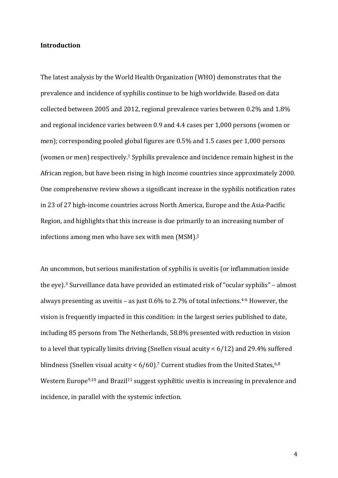### **Introduction**

The latest analysis by the World Health Organization (WHO) demonstrates that the prevalence and incidence of syphilis continue to be high worldwide. Based on data collected between 2005 and 2012, regional prevalence varies between  $0.2\%$  and  $1.8\%$ and regional incidence varies between 0.9 and 4.4 cases per 1,000 persons (women or men); corresponding pooled global figures are  $0.5\%$  and 1.5 cases per 1,000 persons (women or men) respectively.<sup>1</sup> Syphilis prevalence and incidence remain highest in the African region, but have been rising in high income countries since approximately 2000. One comprehensive review shows a significant increase in the syphilis notification rates in 23 of 27 high-income countries across North America, Europe and the Asia-Pacific Region, and highlights that this increase is due primarily to an increasing number of infections among men who have sex with men  $(MSM).<sup>2</sup>$ 

An uncommon, but serious manifestation of syphilis is uveitis (or inflammation inside the eye).<sup>3</sup> Surveillance data have provided an estimated risk of "ocular syphilis" – almost always presenting as uveitis - as just  $0.6\%$  to 2.7% of total infections.<sup>4-6</sup> However, the vision is frequently impacted in this condition: in the largest series published to date, including 85 persons from The Netherlands, 58.8% presented with reduction in vision to a level that typically limits driving (Snellen visual acuity  $\lt 6/12$ ) and 29.4% suffered blindness (Snellen visual acuity <  $6/60$ ).<sup>7</sup> Current studies from the United States, $^{6,8}$ Western Europe<sup>9,10</sup> and Brazil<sup>11</sup> suggest syphilitic uveitis is increasing in prevalence and incidence, in parallel with the systemic infection.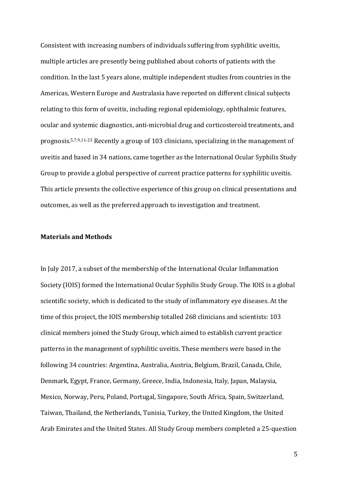Consistent with increasing numbers of individuals suffering from syphilitic uveitis, multiple articles are presently being published about cohorts of patients with the condition. In the last 5 years alone, multiple independent studies from countries in the Americas, Western Europe and Australasia have reported on different clinical subjects relating to this form of uveitis, including regional epidemiology, ophthalmic features, ocular and systemic diagnostics, anti-microbial drug and corticosteroid treatments, and prognosis.<sup>5,7,9,11-23</sup> Recently a group of 103 clinicians, specializing in the management of uveitis and based in 34 nations, came together as the International Ocular Syphilis Study Group to provide a global perspective of current practice patterns for syphilitic uveitis. This article presents the collective experience of this group on clinical presentations and outcomes, as well as the preferred approach to investigation and treatment.

#### **Materials and Methods**

In July 2017, a subset of the membership of the International Ocular Inflammation Society (IOIS) formed the International Ocular Syphilis Study Group. The IOIS is a global scientific society, which is dedicated to the study of inflammatory eye diseases. At the time of this project, the IOIS membership totalled 268 clinicians and scientists: 103 clinical members joined the Study Group, which aimed to establish current practice patterns in the management of syphilitic uveitis. These members were based in the following 34 countries: Argentina, Australia, Austria, Belgium, Brazil, Canada, Chile, Denmark, Egypt, France, Germany, Greece, India, Indonesia, Italy, Japan, Malaysia, Mexico, Norway, Peru, Poland, Portugal, Singapore, South Africa, Spain, Switzerland, Taiwan, Thailand, the Netherlands, Tunisia, Turkey, the United Kingdom, the United Arab Emirates and the United States. All Study Group members completed a 25-question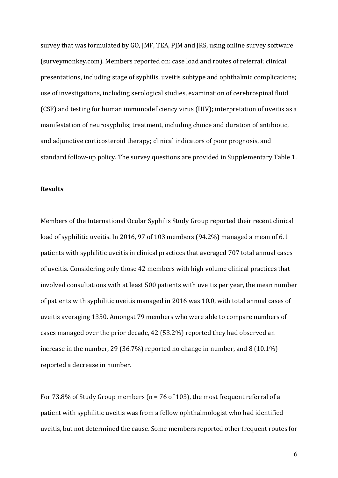survey that was formulated by GO, JMF, TEA, PJM and JRS, using online survey software (surveymonkey.com). Members reported on: case load and routes of referral; clinical presentations, including stage of syphilis, uveitis subtype and ophthalmic complications; use of investigations, including serological studies, examination of cerebrospinal fluid (CSF) and testing for human immunodeficiency virus (HIV); interpretation of uveitis as a manifestation of neurosyphilis; treatment, including choice and duration of antibiotic, and adjunctive corticosteroid therapy; clinical indicators of poor prognosis, and standard follow-up policy. The survey questions are provided in Supplementary Table 1.

#### **Results**

Members of the International Ocular Syphilis Study Group reported their recent clinical load of syphilitic uveitis. In 2016, 97 of 103 members (94.2%) managed a mean of 6.1 patients with syphilitic uveitis in clinical practices that averaged 707 total annual cases of uveitis. Considering only those 42 members with high volume clinical practices that involved consultations with at least 500 patients with uveitis per year, the mean number of patients with syphilitic uveitis managed in 2016 was 10.0, with total annual cases of uveitis averaging 1350. Amongst 79 members who were able to compare numbers of cases managed over the prior decade, 42 (53.2%) reported they had observed an increase in the number, 29 (36.7%) reported no change in number, and  $8(10.1\%)$ reported a decrease in number.

For 73.8% of Study Group members ( $n = 76$  of 103), the most frequent referral of a patient with syphilitic uveitis was from a fellow ophthalmologist who had identified uveitis, but not determined the cause. Some members reported other frequent routes for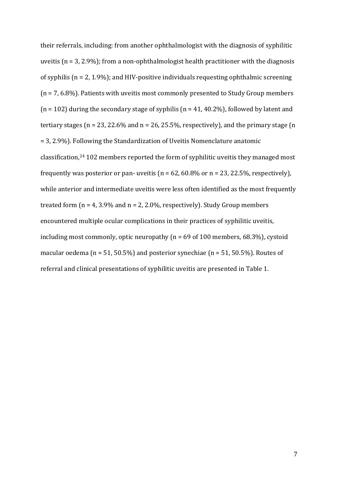their referrals, including: from another ophthalmologist with the diagnosis of syphilitic uveitis  $(n = 3, 2.9\%)$ ; from a non-ophthalmologist health practitioner with the diagnosis of syphilis ( $n = 2$ , 1.9%); and HIV-positive individuals requesting ophthalmic screening  $(n = 7, 6.8\%)$ . Patients with uveitis most commonly presented to Study Group members  $(n = 102)$  during the secondary stage of syphilis  $(n = 41, 40.2\%)$ , followed by latent and tertiary stages ( $n = 23, 22.6\%$  and  $n = 26, 25.5\%$ , respectively), and the primary stage (n  $= 3, 2.9\%$ ). Following the Standardization of Uveitis Nomenclature anatomic classification,<sup>24</sup> 102 members reported the form of syphilitic uveitis they managed most frequently was posterior or pan- uveitis  $(n = 62, 60.8\%$  or  $n = 23, 22.5\%$ , respectively), while anterior and intermediate uveitis were less often identified as the most frequently treated form  $(n = 4, 3.9\%$  and  $n = 2, 2.0\%$ , respectively). Study Group members encountered multiple ocular complications in their practices of syphilitic uveitis. including most commonly, optic neuropathy ( $n = 69$  of 100 members, 68.3%), cystoid macular oedema ( $n = 51, 50.5\%$ ) and posterior synechiae ( $n = 51, 50.5\%$ ). Routes of referral and clinical presentations of syphilitic uveitis are presented in Table 1.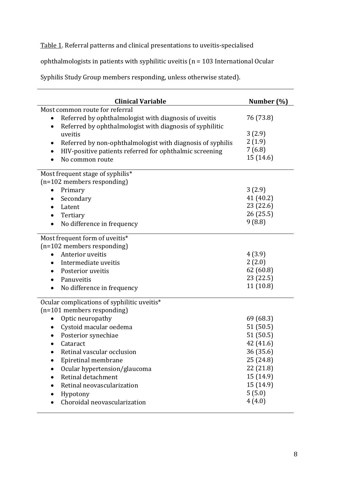Table 1. Referral patterns and clinical presentations to uveitis-specialised

ophthalmologists in patients with syphilitic uveitis ( $n = 103$  International Ocular

Syphilis Study Group members responding, unless otherwise stated).

| <b>Clinical Variable</b>                                                | Number (%) |
|-------------------------------------------------------------------------|------------|
| Most common route for referral                                          |            |
| Referred by ophthalmologist with diagnosis of uveitis<br>$\bullet$      | 76 (73.8)  |
| Referred by ophthalmologist with diagnosis of syphilitic<br>$\bullet$   |            |
| uveitis                                                                 | 3(2.9)     |
| Referred by non-ophthalmologist with diagnosis of syphilis<br>$\bullet$ | 2(1.9)     |
| HIV-positive patients referred for ophthalmic screening<br>٠            | 7(6.8)     |
| No common route                                                         | 15 (14.6)  |
| Most frequent stage of syphilis*                                        |            |
| (n=102 members responding)                                              |            |
| Primary<br>$\bullet$                                                    | 3(2.9)     |
| Secondary<br>$\bullet$                                                  | 41 (40.2)  |
| Latent                                                                  | 23 (22.6)  |
| Tertiary<br>$\bullet$                                                   | 26(25.5)   |
| No difference in frequency                                              | 9(8.8)     |
| Most frequent form of uveitis*                                          |            |
| (n=102 members responding)                                              |            |
| Anterior uveitis                                                        | 4(3.9)     |
| Intermediate uveitis<br>$\bullet$                                       | 2(2.0)     |
| Posterior uveitis<br>$\bullet$                                          | 62 (60.8)  |
| Panuveitis<br>$\bullet$                                                 | 23 (22.5)  |
| No difference in frequency                                              | 11(10.8)   |
| Ocular complications of syphilitic uveitis*                             |            |
| (n=101 members responding)                                              |            |
| Optic neuropathy<br>$\bullet$                                           | 69 (68.3)  |
| Cystoid macular oedema<br>$\bullet$                                     | 51 (50.5)  |
| Posterior synechiae                                                     | 51 (50.5)  |
| Cataract                                                                | 42 (41.6)  |
| Retinal vascular occlusion                                              | 36 (35.6)  |
| Epiretinal membrane                                                     | 25 (24.8)  |
| Ocular hypertension/glaucoma                                            | 22 (21.8)  |
| Retinal detachment                                                      | 15 (14.9)  |
| Retinal neovascularization                                              | 15 (14.9)  |
| Hypotony                                                                | 5(5.0)     |
| Choroidal neovascularization                                            | 4(4.0)     |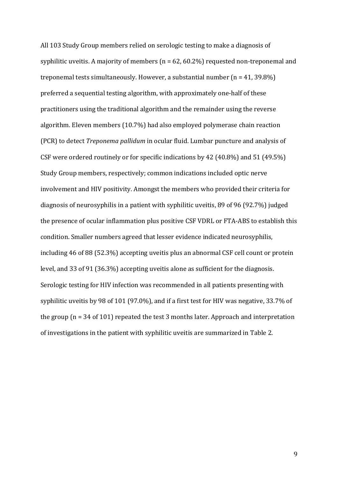All 103 Study Group members relied on serologic testing to make a diagnosis of syphilitic uveitis. A majority of members  $(n = 62, 60.2\%)$  requested non-treponemal and treponemal tests simultaneously. However, a substantial number  $(n = 41, 39.8\%)$ preferred a sequential testing algorithm, with approximately one-half of these practitioners using the traditional algorithm and the remainder using the reverse algorithm. Eleven members (10.7%) had also employed polymerase chain reaction (PCR) to detect *Treponema pallidum* in ocular fluid. Lumbar puncture and analysis of CSF were ordered routinely or for specific indications by 42 (40.8%) and 51 (49.5%) Study Group members, respectively; common indications included optic nerve involvement and HIV positivity. Amongst the members who provided their criteria for diagnosis of neurosyphilis in a patient with syphilitic uveitis, 89 of 96 (92.7%) judged the presence of ocular inflammation plus positive CSF VDRL or FTA-ABS to establish this condition. Smaller numbers agreed that lesser evidence indicated neurosyphilis, including 46 of 88 (52.3%) accepting uveitis plus an abnormal CSF cell count or protein level, and 33 of 91 (36.3%) accepting uveitis alone as sufficient for the diagnosis. Serologic testing for HIV infection was recommended in all patients presenting with syphilitic uveitis by 98 of 101 (97.0%), and if a first test for HIV was negative,  $33.7\%$  of the group  $(n = 34$  of 101) repeated the test 3 months later. Approach and interpretation of investigations in the patient with syphilitic uveitis are summarized in Table 2.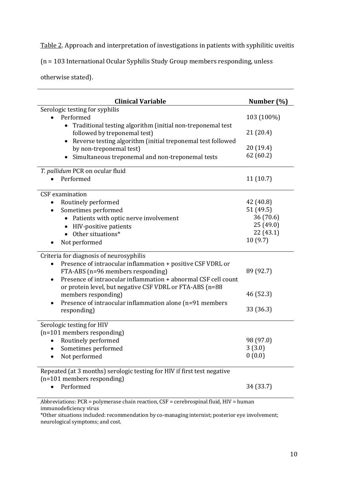Table 2. Approach and interpretation of investigations in patients with syphilitic uveitis

 $(n = 103$  International Ocular Syphilis Study Group members responding, unless

otherwise stated).

| <b>Clinical Variable</b>                                                                                                                                                                                                                                                                                                                                                                              | Number (%)                          |  |
|-------------------------------------------------------------------------------------------------------------------------------------------------------------------------------------------------------------------------------------------------------------------------------------------------------------------------------------------------------------------------------------------------------|-------------------------------------|--|
| Serologic testing for syphilis                                                                                                                                                                                                                                                                                                                                                                        |                                     |  |
| Performed                                                                                                                                                                                                                                                                                                                                                                                             | 103 (100%)                          |  |
| Traditional testing algorithm (initial non-treponemal test<br>$\bullet$<br>followed by treponemal test)                                                                                                                                                                                                                                                                                               | 21 (20.4)                           |  |
| Reverse testing algorithm (initial treponemal test followed<br>$\bullet$<br>by non-treponemal test)<br>Simultaneous treponemal and non-treponemal tests                                                                                                                                                                                                                                               | 20 (19.4)<br>62 (60.2)              |  |
| T. pallidum PCR on ocular fluid                                                                                                                                                                                                                                                                                                                                                                       |                                     |  |
| Performed                                                                                                                                                                                                                                                                                                                                                                                             | 11(10.7)                            |  |
| <b>CSF</b> examination                                                                                                                                                                                                                                                                                                                                                                                |                                     |  |
| Routinely performed                                                                                                                                                                                                                                                                                                                                                                                   | 42 (40.8)                           |  |
| Sometimes performed<br>$\bullet$                                                                                                                                                                                                                                                                                                                                                                      | 51 (49.5)                           |  |
| Patients with optic nerve involvement                                                                                                                                                                                                                                                                                                                                                                 | 36 (70.6)                           |  |
| HIV-positive patients<br>$\bullet$                                                                                                                                                                                                                                                                                                                                                                    | 25 (49.0)                           |  |
| Other situations*<br>$\bullet$                                                                                                                                                                                                                                                                                                                                                                        | 22(43.1)                            |  |
| Not performed                                                                                                                                                                                                                                                                                                                                                                                         | 10(9.7)                             |  |
| Criteria for diagnosis of neurosyphilis<br>Presence of intraocular inflammation + positive CSF VDRL or<br>$\bullet$<br>FTA-ABS (n=96 members responding)<br>Presence of intraocular inflammation + abnormal CSF cell count<br>$\bullet$<br>or protein level, but negative CSF VDRL or FTA-ABS (n=88<br>members responding)<br>Presence of intraocular inflammation alone (n=91 members<br>responding) | 89 (92.7)<br>46 (52.3)<br>33 (36.3) |  |
| Serologic testing for HIV                                                                                                                                                                                                                                                                                                                                                                             |                                     |  |
| (n=101 members responding)                                                                                                                                                                                                                                                                                                                                                                            |                                     |  |
| Routinely performed                                                                                                                                                                                                                                                                                                                                                                                   | 98 (97.0)                           |  |
| Sometimes performed                                                                                                                                                                                                                                                                                                                                                                                   | 3(3.0)                              |  |
| Not performed                                                                                                                                                                                                                                                                                                                                                                                         | 0(0.0)                              |  |
| Repeated (at 3 months) serologic testing for HIV if first test negative                                                                                                                                                                                                                                                                                                                               |                                     |  |
| (n=101 members responding)                                                                                                                                                                                                                                                                                                                                                                            |                                     |  |
| Performed                                                                                                                                                                                                                                                                                                                                                                                             | 34 (33.7)                           |  |
| Abbreviations: PCR = polymerase chain reaction, CSF = cerebrospinal fluid, HIV = human                                                                                                                                                                                                                                                                                                                |                                     |  |

immunodeficiency virus

\*Other situations included: recommendation by co-managing internist; posterior eye involvement; neurological symptoms; and cost.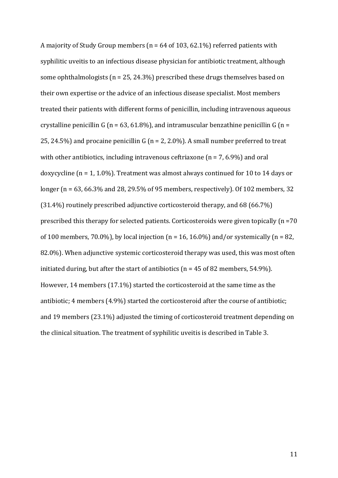A majority of Study Group members ( $n = 64$  of 103, 62.1%) referred patients with syphilitic uveitis to an infectious disease physician for antibiotic treatment, although some ophthalmologists ( $n = 25, 24.3\%$ ) prescribed these drugs themselves based on their own expertise or the advice of an infectious disease specialist. Most members treated their patients with different forms of penicillin, including intravenous aqueous crystalline penicillin G (n = 63, 61.8%), and intramuscular benzathine penicillin G (n = 25, 24.5%) and procaine penicillin G ( $n = 2$ , 2.0%). A small number preferred to treat with other antibiotics, including intravenous ceftriaxone  $(n = 7, 6.9\%)$  and oral doxycycline  $(n = 1, 1.0\%)$ . Treatment was almost always continued for 10 to 14 days or longer ( $n = 63$ , 66.3% and 28, 29.5% of 95 members, respectively). Of 102 members, 32  $(31.4%)$  routinely prescribed adjunctive corticosteroid therapy, and 68 (66.7%) prescribed this therapy for selected patients. Corticosteroids were given topically  $(n = 70)$ of 100 members, 70.0%), by local injection ( $n = 16$ , 16.0%) and/or systemically ( $n = 82$ , 82.0%). When adjunctive systemic corticosteroid therapy was used, this was most often initiated during, but after the start of antibiotics ( $n = 45$  of 82 members, 54.9%). However, 14 members  $(17.1\%)$  started the corticosteroid at the same time as the antibiotic;  $4$  members (4.9%) started the corticosteroid after the course of antibiotic; and 19 members (23.1%) adjusted the timing of corticosteroid treatment depending on the clinical situation. The treatment of syphilitic uveitis is described in Table 3.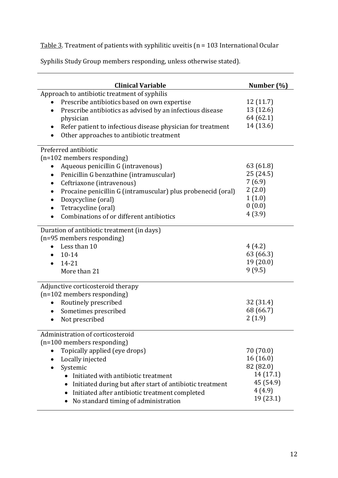Table 3. Treatment of patients with syphilitic uveitis ( $n = 103$  International Ocular

Syphilis Study Group members responding, unless otherwise stated).

| <b>Clinical Variable</b>                                               | Number (%) |
|------------------------------------------------------------------------|------------|
| Approach to antibiotic treatment of syphilis                           |            |
| Prescribe antibiotics based on own expertise                           | 12(11.7)   |
| Prescribe antibiotics as advised by an infectious disease<br>$\bullet$ | 13 (12.6)  |
| physician                                                              | 64 (62.1)  |
| Refer patient to infectious disease physician for treatment<br>٠       | 14 (13.6)  |
| Other approaches to antibiotic treatment                               |            |
| Preferred antibiotic                                                   |            |
| (n=102 members responding)                                             |            |
| Aqueous penicillin G (intravenous)                                     | 63 (61.8)  |
| Penicillin G benzathine (intramuscular)<br>٠                           | 25 (24.5)  |
| Ceftriaxone (intravenous)                                              | 7(6.9)     |
| Procaine penicillin G (intramuscular) plus probenecid (oral)           | 2(2.0)     |
| Doxycycline (oral)                                                     | 1(1.0)     |
| Tetracycline (oral)<br>$\bullet$                                       | 0(0.0)     |
| Combinations of or different antibiotics<br>$\bullet$                  | 4(3.9)     |
| Duration of antibiotic treatment (in days)                             |            |
| (n=95 members responding)                                              |            |
| Less than 10<br>$\bullet$                                              | 4(4.2)     |
| 10-14                                                                  | 63 (66.3)  |
| $14 - 21$<br>$\bullet$                                                 | 19(20.0)   |
| More than 21                                                           | 9(9.5)     |
| Adjunctive corticosteroid therapy                                      |            |
| (n=102 members responding)                                             |            |
| Routinely prescribed<br>$\bullet$                                      | 32 (31.4)  |
| Sometimes prescribed<br>$\bullet$                                      | 68 (66.7)  |
| Not prescribed                                                         | 2(1.9)     |
| Administration of corticosteroid                                       |            |
| (n=100 members responding)                                             |            |
| Topically applied (eye drops)                                          | 70 (70.0)  |
| Locally injected<br>$\bullet$                                          | 16(16.0)   |
| Systemic                                                               | 82 (82.0)  |
| Initiated with antibiotic treatment                                    | 14 (17.1)  |
| Initiated during but after start of antibiotic treatment               | 45 (54.9)  |
| Initiated after antibiotic treatment completed<br>$\bullet$            | 4(4.9)     |
| No standard timing of administration                                   | 19 (23.1)  |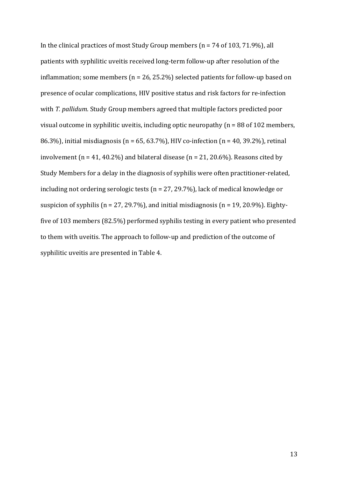In the clinical practices of most Study Group members ( $n = 74$  of 103, 71.9%), all patients with syphilitic uveitis received long-term follow-up after resolution of the inflammation; some members ( $n = 26$ , 25.2%) selected patients for follow-up based on presence of ocular complications, HIV positive status and risk factors for re-infection with *T. pallidum*. Study Group members agreed that multiple factors predicted poor visual outcome in syphilitic uveitis, including optic neuropathy  $(n = 88$  of 102 members, 86.3%), initial misdiagnosis ( $n = 65, 63.7\%$ ), HIV co-infection ( $n = 40, 39.2\%$ ), retinal involvement  $(n = 41, 40.2\%)$  and bilateral disease  $(n = 21, 20.6\%)$ . Reasons cited by Study Members for a delay in the diagnosis of syphilis were often practitioner-related, including not ordering serologic tests ( $n = 27, 29.7\%$ ), lack of medical knowledge or suspicion of syphilis ( $n = 27, 29.7\%$ ), and initial misdiagnosis ( $n = 19, 20.9\%$ ). Eightyfive of 103 members  $(82.5%)$  performed syphilis testing in every patient who presented to them with uveitis. The approach to follow-up and prediction of the outcome of syphilitic uveitis are presented in Table 4.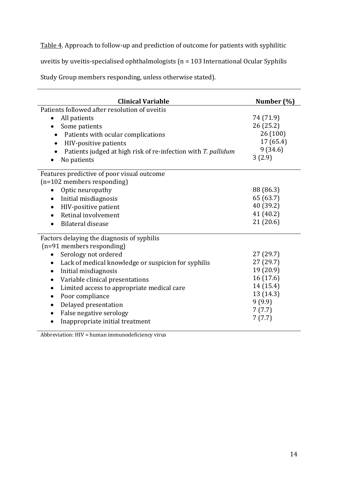Table 4. Approach to follow-up and prediction of outcome for patients with syphilitic

uveitis by uveitis-specialised ophthalmologists  $(n = 103$  International Ocular Syphilis

Study Group members responding, unless otherwise stated).

| <b>Clinical Variable</b>                                      | Number (%) |
|---------------------------------------------------------------|------------|
| Patients followed after resolution of uveitis                 |            |
| All patients<br>$\bullet$                                     | 74 (71.9)  |
| Some patients<br>$\bullet$                                    | 26 (25.2)  |
| Patients with ocular complications                            | 26(100)    |
| HIV-positive patients<br>٠                                    | 17 (65.4)  |
| Patients judged at high risk of re-infection with T. pallidum | 9(34.6)    |
| No patients                                                   | 3(2.9)     |
| Features predictive of poor visual outcome                    |            |
| (n=102 members responding)                                    |            |
| Optic neuropathy                                              | 88 (86.3)  |
| Initial misdiagnosis<br>$\bullet$                             | 65 (63.7)  |
| HIV-positive patient<br>$\bullet$                             | 40 (39.2)  |
| Retinal involvement                                           | 41 (40.2)  |
| Bilateral disease                                             | 21(20.6)   |
| Factors delaying the diagnosis of syphilis                    |            |
| (n=91 members responding)                                     |            |
| Serology not ordered                                          | 27(29.7)   |
| Lack of medical knowledge or suspicion for syphilis<br>٠      | 27 (29.7)  |
| Initial misdiagnosis<br>٠                                     | 19 (20.9)  |
| Variable clinical presentations                               | 16 (17.6)  |
| Limited access to appropriate medical care<br>$\bullet$       | 14 (15.4)  |
| Poor compliance<br>٠                                          | 13 (14.3)  |
| Delayed presentation                                          | 9(9.9)     |
| False negative serology                                       | 7(7.7)     |
| Inappropriate initial treatment                               | 7(7.7)     |

Abbreviation:  $HIV =$  human immunodeficiency virus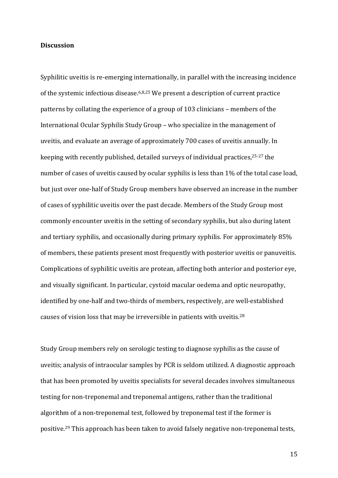## **Discussion**

Syphilitic uveitis is re-emerging internationally, in parallel with the increasing incidence of the systemic infectious disease.<sup>6,8,25</sup> We present a description of current practice patterns by collating the experience of a group of 103 clinicians – members of the International Ocular Syphilis Study Group – who specialize in the management of uveitis, and evaluate an average of approximately 700 cases of uveitis annually. In keeping with recently published, detailed surveys of individual practices,<sup>25-27</sup> the number of cases of uveitis caused by ocular syphilis is less than 1% of the total case load, but just over one-half of Study Group members have observed an increase in the number of cases of syphilitic uveitis over the past decade. Members of the Study Group most commonly encounter uveitis in the setting of secondary syphilis, but also during latent and tertiary syphilis, and occasionally during primary syphilis. For approximately 85% of members, these patients present most frequently with posterior uveitis or panuveitis. Complications of syphilitic uveitis are protean, affecting both anterior and posterior eye, and visually significant. In particular, cystoid macular oedema and optic neuropathy, identified by one-half and two-thirds of members, respectively, are well-established causes of vision loss that may be irreversible in patients with uveitis.<sup>28</sup>

Study Group members rely on serologic testing to diagnose syphilis as the cause of uveitis; analysis of intraocular samples by PCR is seldom utilized. A diagnostic approach that has been promoted by uveitis specialists for several decades involves simultaneous testing for non-treponemal and treponemal antigens, rather than the traditional algorithm of a non-treponemal test, followed by treponemal test if the former is positive.<sup>29</sup> This approach has been taken to avoid falsely negative non-treponemal tests,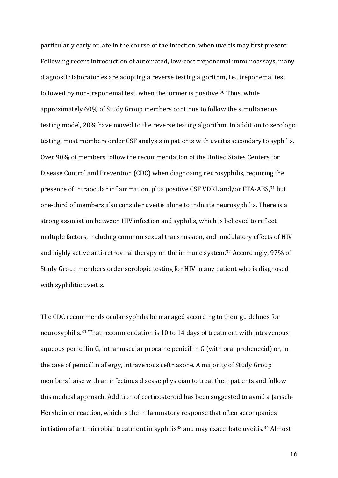particularly early or late in the course of the infection, when uveitis may first present. Following recent introduction of automated, low-cost treponemal immunoassays, many diagnostic laboratories are adopting a reverse testing algorithm, i.e., treponemal test followed by non-treponemal test, when the former is positive.<sup>30</sup> Thus, while approximately 60% of Study Group members continue to follow the simultaneous testing model, 20% have moved to the reverse testing algorithm. In addition to serologic testing, most members order CSF analysis in patients with uveitis secondary to syphilis. Over 90% of members follow the recommendation of the United States Centers for Disease Control and Prevention (CDC) when diagnosing neurosyphilis, requiring the presence of intraocular inflammation, plus positive CSF VDRL and/or FTA-ABS,<sup>31</sup> but one-third of members also consider uveitis alone to indicate neurosyphilis. There is a strong association between HIV infection and syphilis, which is believed to reflect multiple factors, including common sexual transmission, and modulatory effects of HIV and highly active anti-retroviral therapy on the immune system.<sup>32</sup> Accordingly, 97% of Study Group members order serologic testing for HIV in any patient who is diagnosed with syphilitic uveitis.

The CDC recommends ocular syphilis be managed according to their guidelines for neurosyphilis.<sup>31</sup> That recommendation is 10 to 14 days of treatment with intravenous aqueous penicillin G, intramuscular procaine penicillin G (with oral probenecid) or, in the case of penicillin allergy, intravenous ceftriaxone. A majority of Study Group members liaise with an infectious disease physician to treat their patients and follow this medical approach. Addition of corticosteroid has been suggested to avoid a Jarisch-Herxheimer reaction, which is the inflammatory response that often accompanies initiation of antimicrobial treatment in syphilis<sup>33</sup> and may exacerbate uveitis.<sup>34</sup> Almost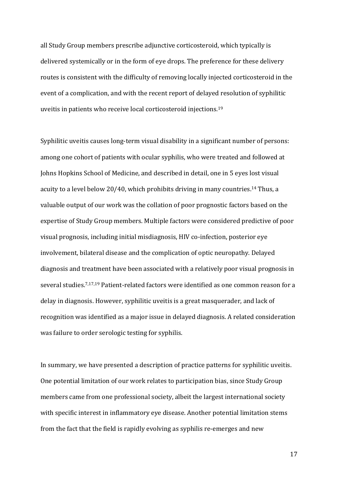all Study Group members prescribe adjunctive corticosteroid, which typically is delivered systemically or in the form of eye drops. The preference for these delivery routes is consistent with the difficulty of removing locally injected corticosteroid in the event of a complication, and with the recent report of delayed resolution of syphilitic uveitis in patients who receive local corticosteroid injections. $^{19}$ 

Syphilitic uveitis causes long-term visual disability in a significant number of persons: among one cohort of patients with ocular syphilis, who were treated and followed at Johns Hopkins School of Medicine, and described in detail, one in 5 eyes lost visual acuity to a level below  $20/40$ , which prohibits driving in many countries.<sup>14</sup> Thus, a valuable output of our work was the collation of poor prognostic factors based on the expertise of Study Group members. Multiple factors were considered predictive of poor visual prognosis, including initial misdiagnosis, HIV co-infection, posterior eye involvement, bilateral disease and the complication of optic neuropathy. Delayed diagnosis and treatment have been associated with a relatively poor visual prognosis in several studies.<sup>7,17,19</sup> Patient-related factors were identified as one common reason for a delay in diagnosis. However, syphilitic uveitis is a great masquerader, and lack of recognition was identified as a major issue in delayed diagnosis. A related consideration was failure to order serologic testing for syphilis.

In summary, we have presented a description of practice patterns for syphilitic uveitis. One potential limitation of our work relates to participation bias, since Study Group members came from one professional society, albeit the largest international society with specific interest in inflammatory eye disease. Another potential limitation stems from the fact that the field is rapidly evolving as syphilis re-emerges and new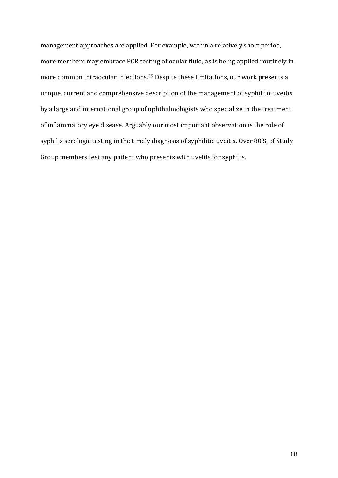management approaches are applied. For example, within a relatively short period, more members may embrace PCR testing of ocular fluid, as is being applied routinely in more common intraocular infections.<sup>35</sup> Despite these limitations, our work presents a unique, current and comprehensive description of the management of syphilitic uveitis by a large and international group of ophthalmologists who specialize in the treatment of inflammatory eye disease. Arguably our most important observation is the role of syphilis serologic testing in the timely diagnosis of syphilitic uveitis. Over 80% of Study Group members test any patient who presents with uveitis for syphilis.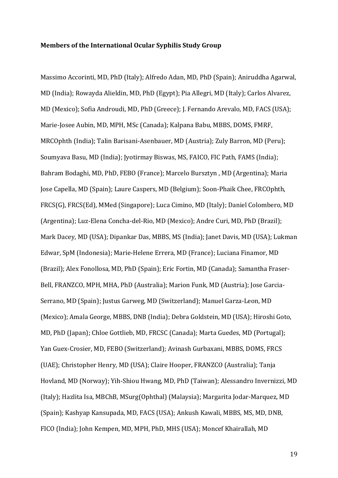#### **Members of the International Ocular Syphilis Study Group**

Massimo Accorinti, MD, PhD (Italy); Alfredo Adan, MD, PhD (Spain); Aniruddha Agarwal, MD (India); Rowayda Alieldin, MD, PhD (Egypt); Pia Allegri, MD (Italy); Carlos Alvarez, MD (Mexico); Sofia Androudi, MD, PhD (Greece); J. Fernando Arevalo, MD, FACS (USA); Marie-Josee Aubin, MD, MPH, MSc (Canada); Kalpana Babu, MBBS, DOMS, FMRF, MRCOphth (India); Talin Barisani-Asenbauer, MD (Austria); Zuly Barron, MD (Peru); Soumyava Basu, MD (India); Jyotirmay Biswas, MS, FAICO, FIC Path, FAMS (India); Bahram Bodaghi, MD, PhD, FEBO (France); Marcelo Bursztyn, MD (Argentina); Maria Jose Capella, MD (Spain); Laure Caspers, MD (Belgium); Soon-Phaik Chee, FRCOphth, FRCS(G), FRCS(Ed), MMed (Singapore); Luca Cimino, MD (Italy); Daniel Colombero, MD (Argentina); Luz-Elena Concha-del-Rio, MD (Mexico); Andre Curi, MD, PhD (Brazil); Mark Dacey, MD (USA); Dipankar Das, MBBS, MS (India); Janet Davis, MD (USA); Lukman Edwar, SpM (Indonesia); Marie-Helene Errera, MD (France); Luciana Finamor, MD (Brazil); Alex Fonollosa, MD, PhD (Spain); Eric Fortin, MD (Canada); Samantha Fraser-Bell, FRANZCO, MPH, MHA, PhD (Australia); Marion Funk, MD (Austria); Jose Garcia-Serrano, MD (Spain); Justus Garweg, MD (Switzerland); Manuel Garza-Leon, MD (Mexico); Amala George, MBBS, DNB (India); Debra Goldstein, MD (USA); Hiroshi Goto, MD, PhD (Japan); Chloe Gottlieb, MD, FRCSC (Canada); Marta Guedes, MD (Portugal); Yan Guex-Crosier, MD, FEBO (Switzerland); Avinash Gurbaxani, MBBS, DOMS, FRCS (UAE); Christopher Henry, MD (USA); Claire Hooper, FRANZCO (Australia); Tanja Hovland, MD (Norway); Yih-Shiou Hwang, MD, PhD (Taiwan); Alessandro Invernizzi, MD (Italy); Hazlita Isa, MBChB, MSurg(Ophthal) (Malaysia); Margarita Jodar-Marquez, MD (Spain); Kashyap Kansupada, MD, FACS (USA); Ankush Kawali, MBBS, MS, MD, DNB, FICO (India); John Kempen, MD, MPH, PhD, MHS (USA); Moncef Khairallah, MD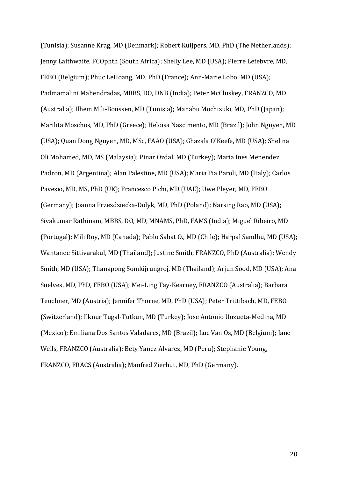(Tunisia); Susanne Krag, MD (Denmark); Robert Kuijpers, MD, PhD (The Netherlands); Jenny Laithwaite, FCOphth (South Africa); Shelly Lee, MD (USA); Pierre Lefebvre, MD, FEBO (Belgium); Phuc LeHoang, MD, PhD (France); Ann-Marie Lobo, MD (USA); Padmamalini Mahendradas, MBBS, DO, DNB (India); Peter McCluskey, FRANZCO, MD (Australia); Ilhem Mili-Boussen, MD (Tunisia); Manabu Mochizuki, MD, PhD (Japan); Marilita Moschos, MD, PhD (Greece); Heloisa Nascimento, MD (Brazil); John Nguyen, MD (USA); Quan Dong Nguyen, MD, MSc, FAAO (USA); Ghazala O'Keefe, MD (USA); Shelina Oli Mohamed, MD, MS (Malaysia); Pinar Ozdal, MD (Turkey); Maria Ines Menendez Padron, MD (Argentina); Alan Palestine, MD (USA); Maria Pia Paroli, MD (Italy); Carlos Pavesio, MD, MS, PhD (UK); Francesco Pichi, MD (UAE); Uwe Pleyer, MD, FEBO (Germany); Joanna Przezdziecka-Dolyk, MD, PhD (Poland); Narsing Rao, MD (USA); Sivakumar Rathinam, MBBS, DO, MD, MNAMS, PhD, FAMS (India); Miguel Ribeiro, MD (Portugal); Mili Roy, MD (Canada); Pablo Sabat O., MD (Chile); Harpal Sandhu, MD (USA); Wantanee Sittivarakul, MD (Thailand); Justine Smith, FRANZCO, PhD (Australia); Wendy Smith, MD (USA); Thanapong Somkijrungroj, MD (Thailand); Arjun Sood, MD (USA); Ana Suelves, MD, PhD, FEBO (USA); Mei-Ling Tay-Kearney, FRANZCO (Australia); Barbara Teuchner, MD (Austria); Jennifer Thorne, MD, PhD (USA); Peter Trittibach, MD, FEBO (Switzerland); Ilknur Tugal-Tutkun, MD (Turkey); Jose Antonio Unzueta-Medina, MD (Mexico); Emiliana Dos Santos Valadares, MD (Brazil); Luc Van Os, MD (Belgium); Jane Wells, FRANZCO (Australia); Bety Yanez Alvarez, MD (Peru); Stephanie Young, FRANZCO, FRACS (Australia): Manfred Zierhut, MD, PhD (Germany).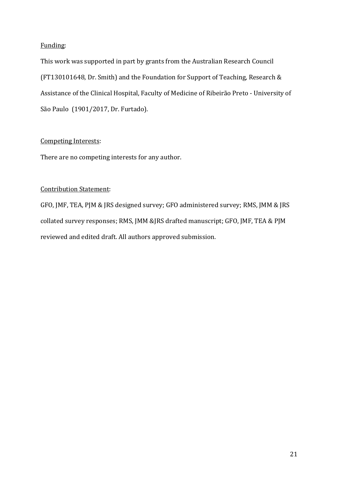# Funding:

This work was supported in part by grants from the Australian Research Council (FT130101648, Dr. Smith) and the Foundation for Support of Teaching, Research  $&$ Assistance of the Clinical Hospital, Faculty of Medicine of Ribeirão Preto - University of São Paulo (1901/2017, Dr. Furtado).

# Competing Interests:

There are no competing interests for any author.

# **Contribution Statement:**

GFO, JMF, TEA, PJM & JRS designed survey; GFO administered survey; RMS, JMM & JRS collated survey responses; RMS, JMM &JRS drafted manuscript; GFO, JMF, TEA & PJM reviewed and edited draft. All authors approved submission.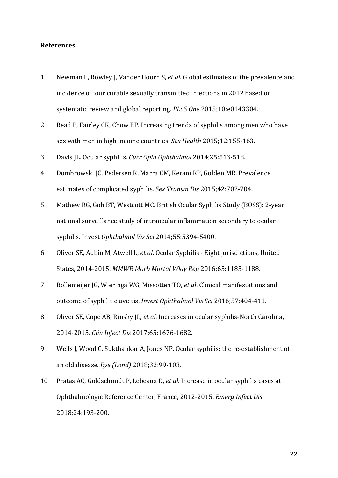#### **References**

- 1 Newman L, Rowley J, Vander Hoorn S, *et al*. Global estimates of the prevalence and incidence of four curable sexually transmitted infections in 2012 based on systematic review and global reporting. *PLoS One* 2015;10:e0143304.
- 2 Read P, Fairley CK, Chow EP. Increasing trends of syphilis among men who have sex with men in high income countries. Sex Health 2015;12:155-163.
- 3 Davis JL. Ocular syphilis. *Curr Opin Ophthalmol* 2014;25:513-518.
- 4 Dombrowski JC, Pedersen R, Marra CM, Kerani RP, Golden MR. Prevalence estimates of complicated syphilis. Sex Transm Dis 2015;42:702-704.
- 5 Mathew RG, Goh BT, Westcott MC. British Ocular Syphilis Study (BOSS): 2-year national surveillance study of intraocular inflammation secondary to ocular syphilis. Invest *Ophthalmol Vis Sci* 2014;55:5394-5400.
- 6 Oliver SE, Aubin M, Atwell L, et al. Ocular Syphilis Eight jurisdictions, United States, 2014-2015. MMWR Morb Mortal Wkly Rep 2016;65:1185-1188.
- 7 Bollemeijer JG, Wieringa WG, Missotten TO, *et al*. Clinical manifestations and outcome of syphilitic uveitis. *Invest Ophthalmol Vis Sci* 2016;57:404-411.
- 8 Oliver SE, Cope AB, Rinsky *L, et al.* Increases in ocular syphilis-North Carolina, 2014-2015. *Clin Infect Dis* 2017;65:1676-1682.
- 9 Wells J, Wood C, Sukthankar A, Jones NP. Ocular syphilis: the re-establishment of an old disease. *Eye (Lond)* 2018;32:99-103.
- 10 Pratas AC, Goldschmidt P, Lebeaux D, *et al*. Increase in ocular syphilis cases at Ophthalmologic Reference Center, France, 2012-2015. *Emerg Infect Dis* 2018;24:193-200.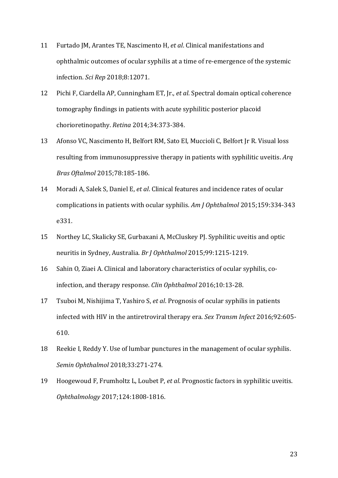- 11 Furtado JM, Arantes TE, Nascimento H, et al. Clinical manifestations and ophthalmic outcomes of ocular syphilis at a time of re-emergence of the systemic infection. *Sci Rep* 2018;8:12071.
- 12 Pichi F, Ciardella AP, Cunningham ET, Jr., *et al*. Spectral domain optical coherence tomography findings in patients with acute syphilitic posterior placoid chorioretinopathy. *Retina* 2014;34:373-384.
- 13 Afonso VC, Nascimento H, Belfort RM, Sato EI, Muccioli C, Belfort Jr R. Visual loss resulting from immunosuppressive therapy in patients with syphilitic uveitis. Arq *Bras Oftalmol* 2015;78:185-186.
- 14 Moradi A, Salek S, Daniel E, *et al*. Clinical features and incidence rates of ocular complications in patients with ocular syphilis. Am J Ophthalmol 2015;159:334-343 e331.
- 15 Northey LC, Skalicky SE, Gurbaxani A, McCluskey PJ. Syphilitic uveitis and optic neuritis in Sydney, Australia. *Br J Ophthalmol* 2015;99:1215-1219.
- 16 Sahin O, Ziaei A. Clinical and laboratory characteristics of ocular syphilis, coinfection, and therapy response. *Clin Ophthalmol* 2016;10:13-28.
- 17 Tsuboi M, Nishijima T, Yashiro S, *et al*. Prognosis of ocular syphilis in patients infected with HIV in the antiretroviral therapy era. *Sex Transm Infect* 2016;92:605-610.
- 18 Reekie I, Reddy Y. Use of lumbar punctures in the management of ocular syphilis. *Semin Ophthalmol* 2018;33:271-274.
- 19 Hoogewoud F, Frumholtz L, Loubet P, *et al*. Prognostic factors in syphilitic uveitis. *Ophthalmology* 2017;124:1808-1816.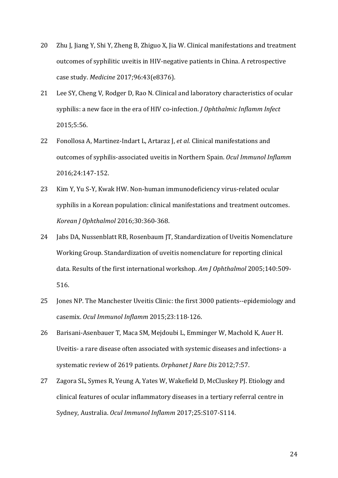- 20 Zhu J, Jiang Y, Shi Y, Zheng B, Zhiguo X, Jia W. Clinical manifestations and treatment outcomes of syphilitic uveitis in HIV-negative patients in China. A retrospective case study. *Medicine* 2017;96:43(e8376).
- 21 Lee SY, Cheng V, Rodger D, Rao N. Clinical and laboratory characteristics of ocular syphilis: a new face in the era of HIV co-infection. *J Ophthalmic Inflamm Infect* 2015;5:56.
- 22 Fonollosa A, Martinez-Indart L, Artaraz J, *et al*. Clinical manifestations and outcomes of syphilis-associated uveitis in Northern Spain. Ocul Immunol Inflamm 2016;24:147-152.
- 23 Kim Y, Yu S-Y, Kwak HW. Non-human immunodeficiency virus-related ocular syphilis in a Korean population: clinical manifestations and treatment outcomes. *Korean J Ophthalmol* 2016;30:360-368.
- 24 Jabs DA, Nussenblatt RB, Rosenbaum JT, Standardization of Uveitis Nomenclature Working Group. Standardization of uveitis nomenclature for reporting clinical data. Results of the first international workshop. Am *J Ophthalmol* 2005;140:509-516.
- 25 Jones NP. The Manchester Uveitis Clinic: the first 3000 patients--epidemiology and casemix. *Ocul Immunol Inflamm* 2015;23:118-126.
- 26 Barisani-Asenbauer T, Maca SM, Mejdoubi L, Emminger W, Machold K, Auer H. Uveitis- a rare disease often associated with systemic diseases and infections- a systematic review of 2619 patients. Orphanet J Rare Dis 2012;7:57.
- 27 Zagora SL, Symes R, Yeung A, Yates W, Wakefield D, McCluskey PJ. Etiology and clinical features of ocular inflammatory diseases in a tertiary referral centre in Sydney, Australia. Ocul Immunol Inflamm 2017;25:S107-S114.